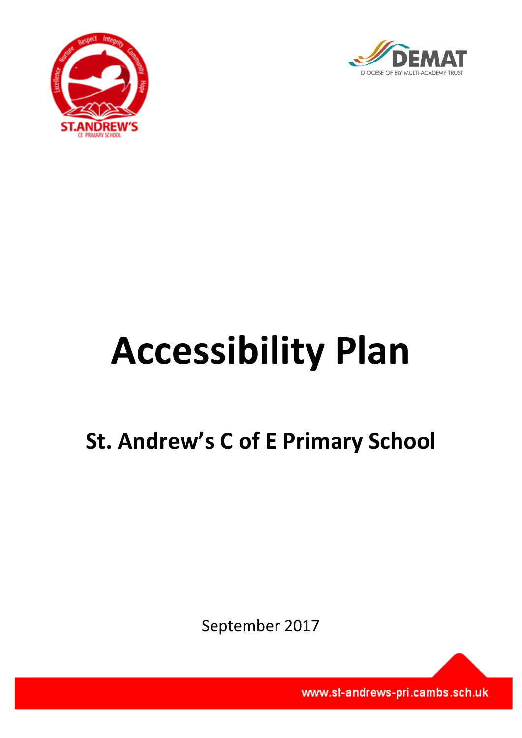



# **Accessibility Plan**

# **St. Andrew's C of E Primary School**

September 2017

www.st-andrews-pri.cambs.sch.uk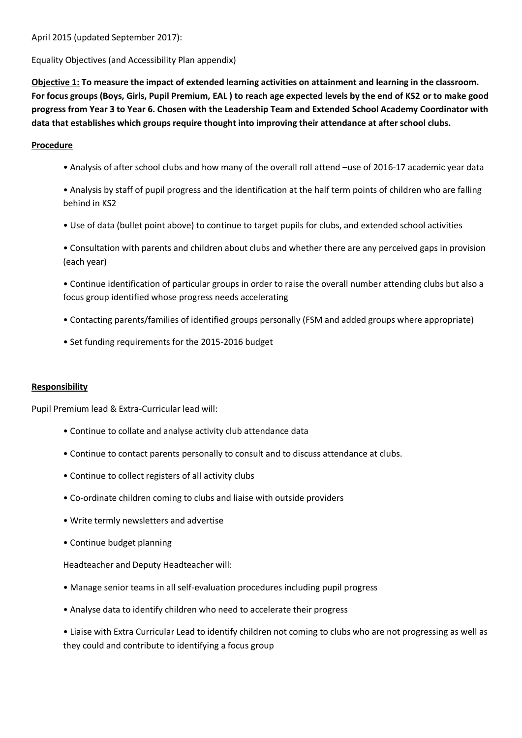April 2015 (updated September 2017):

Equality Objectives (and Accessibility Plan appendix)

**Objective 1: To measure the impact of extended learning activities on attainment and learning in the classroom. For focus groups (Boys, Girls, Pupil Premium, EAL ) to reach age expected levels by the end of KS2 or to make good progress from Year 3 to Year 6. Chosen with the Leadership Team and Extended School Academy Coordinator with data that establishes which groups require thought into improving their attendance at after school clubs.**

### **Procedure**

- Analysis of after school clubs and how many of the overall roll attend –use of 2016-17 academic year data
- Analysis by staff of pupil progress and the identification at the half term points of children who are falling behind in KS2
- Use of data (bullet point above) to continue to target pupils for clubs, and extended school activities
- Consultation with parents and children about clubs and whether there are any perceived gaps in provision (each year)
- Continue identification of particular groups in order to raise the overall number attending clubs but also a focus group identified whose progress needs accelerating
- Contacting parents/families of identified groups personally (FSM and added groups where appropriate)
- Set funding requirements for the 2015-2016 budget

#### **Responsibility**

Pupil Premium lead & Extra-Curricular lead will:

- Continue to collate and analyse activity club attendance data
- Continue to contact parents personally to consult and to discuss attendance at clubs.
- Continue to collect registers of all activity clubs
- Co-ordinate children coming to clubs and liaise with outside providers
- Write termly newsletters and advertise
- Continue budget planning

Headteacher and Deputy Headteacher will:

- Manage senior teams in all self-evaluation procedures including pupil progress
- Analyse data to identify children who need to accelerate their progress

• Liaise with Extra Curricular Lead to identify children not coming to clubs who are not progressing as well as they could and contribute to identifying a focus group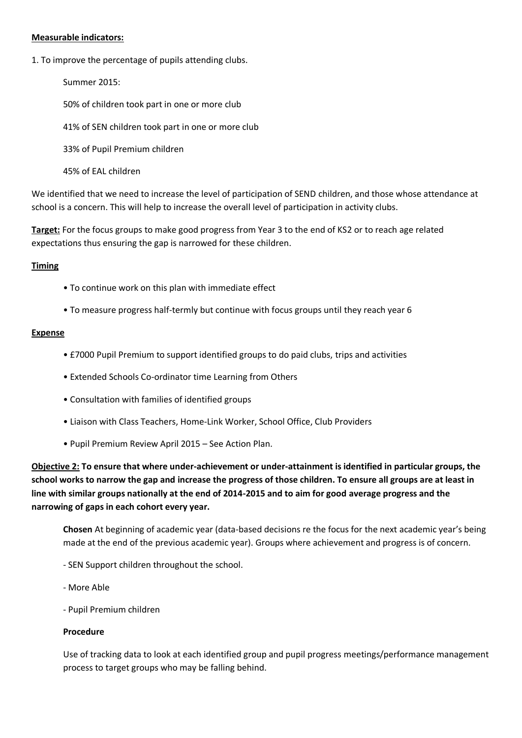#### **Measurable indicators:**

1. To improve the percentage of pupils attending clubs.

Summer 2015: 50% of children took part in one or more club 41% of SEN children took part in one or more club 33% of Pupil Premium children 45% of EAL children

We identified that we need to increase the level of participation of SEND children, and those whose attendance at school is a concern. This will help to increase the overall level of participation in activity clubs.

**Target:** For the focus groups to make good progress from Year 3 to the end of KS2 or to reach age related expectations thus ensuring the gap is narrowed for these children.

#### **Timing**

- To continue work on this plan with immediate effect
- To measure progress half-termly but continue with focus groups until they reach year 6

#### **Expense**

- £7000 Pupil Premium to support identified groups to do paid clubs, trips and activities
- Extended Schools Co-ordinator time Learning from Others
- Consultation with families of identified groups
- Liaison with Class Teachers, Home-Link Worker, School Office, Club Providers
- Pupil Premium Review April 2015 See Action Plan.

**Objective 2: To ensure that where under-achievement or under-attainment is identified in particular groups, the school works to narrow the gap and increase the progress of those children. To ensure all groups are at least in line with similar groups nationally at the end of 2014-2015 and to aim for good average progress and the narrowing of gaps in each cohort every year.**

**Chosen** At beginning of academic year (data-based decisions re the focus for the next academic year's being made at the end of the previous academic year). Groups where achievement and progress is of concern.

- SEN Support children throughout the school.
- More Able
- Pupil Premium children

#### **Procedure**

Use of tracking data to look at each identified group and pupil progress meetings/performance management process to target groups who may be falling behind.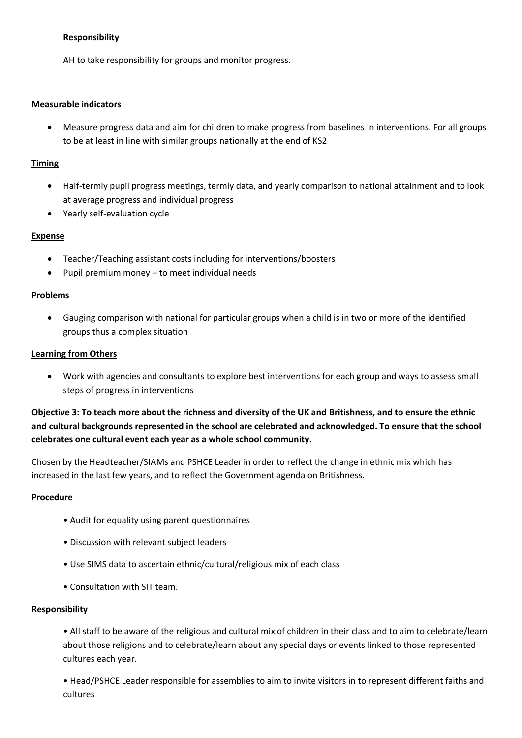## **Responsibility**

AH to take responsibility for groups and monitor progress.

#### **Measurable indicators**

 Measure progress data and aim for children to make progress from baselines in interventions. For all groups to be at least in line with similar groups nationally at the end of KS2

#### **Timing**

- Half-termly pupil progress meetings, termly data, and yearly comparison to national attainment and to look at average progress and individual progress
- Yearly self-evaluation cycle

#### **Expense**

- Teacher/Teaching assistant costs including for interventions/boosters
- Pupil premium money to meet individual needs

#### **Problems**

 Gauging comparison with national for particular groups when a child is in two or more of the identified groups thus a complex situation

#### **Learning from Others**

 Work with agencies and consultants to explore best interventions for each group and ways to assess small steps of progress in interventions

**Objective 3: To teach more about the richness and diversity of the UK and Britishness, and to ensure the ethnic and cultural backgrounds represented in the school are celebrated and acknowledged. To ensure that the school celebrates one cultural event each year as a whole school community.**

Chosen by the Headteacher/SIAMs and PSHCE Leader in order to reflect the change in ethnic mix which has increased in the last few years, and to reflect the Government agenda on Britishness.

#### **Procedure**

- Audit for equality using parent questionnaires
- Discussion with relevant subject leaders
- Use SIMS data to ascertain ethnic/cultural/religious mix of each class
- Consultation with SIT team.

#### **Responsibility**

• All staff to be aware of the religious and cultural mix of children in their class and to aim to celebrate/learn about those religions and to celebrate/learn about any special days or events linked to those represented cultures each year.

• Head/PSHCE Leader responsible for assemblies to aim to invite visitors in to represent different faiths and cultures